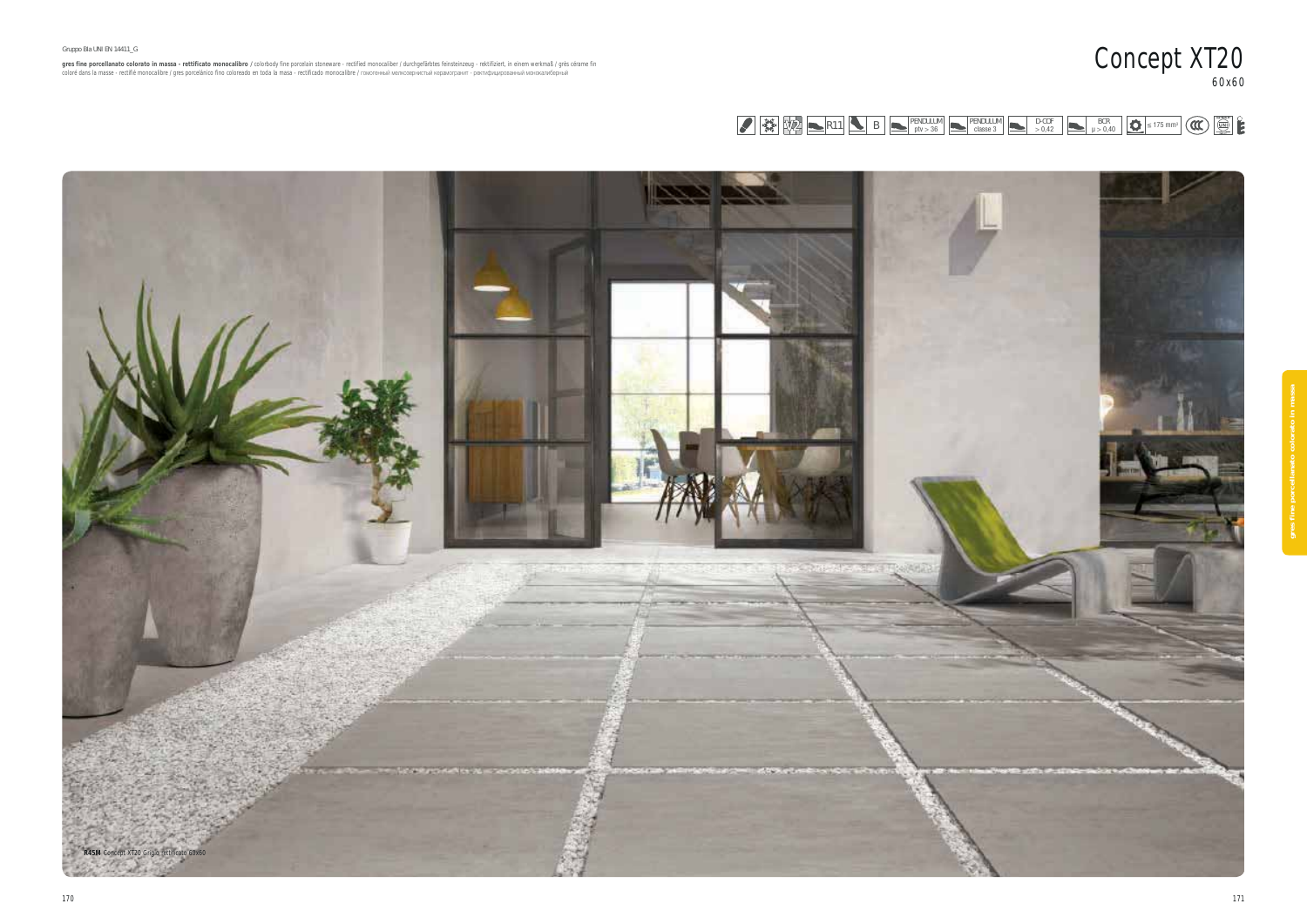

**gres fine porcellanato colorato in massa - rettificato monocalibro /** colorbody fine porcelain stoneware - rectified monocaliber / durchgefärbtes feinsteinzeug - rektifiziert, in einem werkmaß / grès cérame fin<br>coloré da